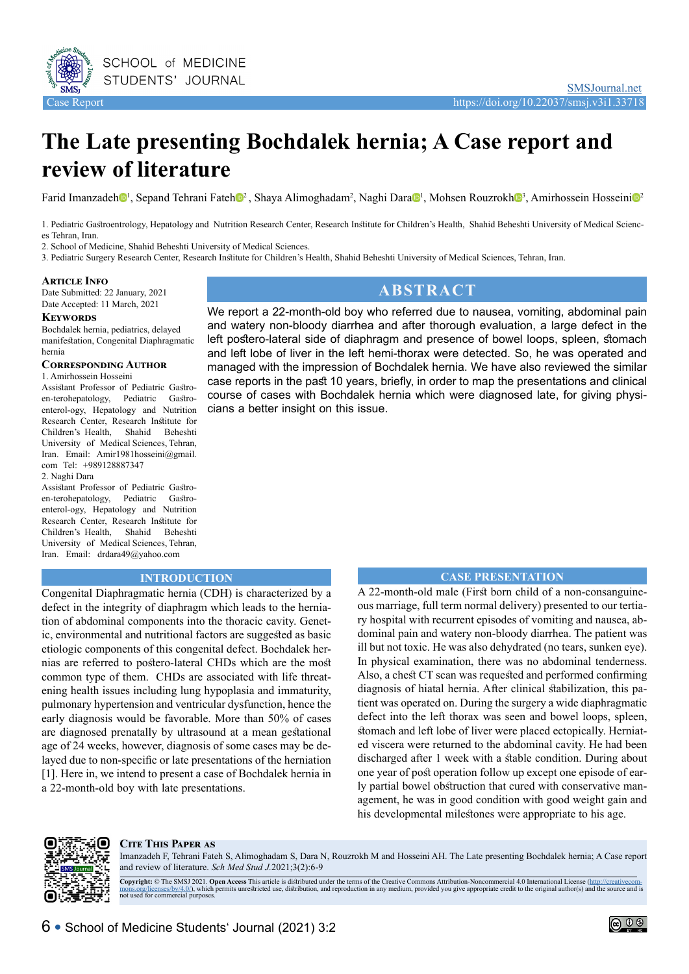

# **The Late presenting Bochdalek hernia; A Case report and review of literature**

Farid Imanzade[h](https://orcid.org/0000-0002-1881-8893)<sup>ol</sup>, Sep[a](https://orcid.org/0000-0002-1881-8893)nd Tehran[i](https://orcid.org/0000-0001-8103-8833) Fateho<sup>2</sup>, Shaya Alimoghadam<sup>2</sup>, Naghi Daraol, Mohsen Rouzrokho<sup>3</sup>, Amirhossein Hosseinio<sup>2</sup>

1. Pediatric Gastroentrology, Hepatology and Nutrition Research Center, Research Institute for Children's Health, Shahid Beheshti University of Medical Sciences Tehran, Iran.

2. School of Medicine, Shahid Beheshti University of Medical Sciences.

3. Pediatric Surgery Research Center, Research Institute for Children's Health, Shahid Beheshti University of Medical Sciences, Tehran, Iran.

#### **Article Info**

Date Submitted: 22 January, 2021 Date Accepted: 11 March, 2021

#### **Keywords**

Bochdalek hernia, pediatrics, delayed manifestation, Congenital Diaphragmatic hernia

#### **Corresponding Author**

1. Amirhossein Hosseini

Assistant Professor of Pediatric Gastroen-terohepatology, Pediatric Gastroenterol-ogy, Hepatology and Nutrition Research Center, Research Institute for Children's Health, Shahid Beheshti University of Medical Sciences, Tehran, Iran. Email: Amir1981hosseini@gmail. com Tel: +989128887347 2. Naghi Dara

Assistant Professor of Pediatric Gastroen-terohepatology, Pediatric Gastroenterol-ogy, Hepatology and Nutrition Research Center, Research Institute for Children's Health, Shahid Beheshti University of Medical Sciences, Tehran, Iran. Email: drdara49@yahoo.com

# **ABSTRACT**

We report a 22-month-old boy who referred due to nausea, vomiting, abdominal pain and watery non-bloody diarrhea and after thorough evaluation, a large defect in the left postero-lateral side of diaphragm and presence of bowel loops, spleen, stomach and left lobe of liver in the left hemi-thorax were detected. So, he was operated and managed with the impression of Bochdalek hernia. We have also reviewed the similar case reports in the past 10 years, briefly, in order to map the presentations and clinical course of cases with Bochdalek hernia which were diagnosed late, for giving physicians a better insight on this issue.

### **INTRODUCTION**

Congenital Diaphragmatic hernia (CDH) is characterized by a defect in the integrity of diaphragm which leads to the herniation of abdominal components into the thoracic cavity. Genetic, environmental and nutritional factors are suggested as basic etiologic components of this congenital defect. Bochdalek hernias are referred to postero-lateral CHDs which are the most common type of them. CHDs are associated with life threatening health issues including lung hypoplasia and immaturity, pulmonary hypertension and ventricular dysfunction, hence the early diagnosis would be favorable. More than 50% of cases are diagnosed prenatally by ultrasound at a mean gestational age of 24 weeks, however, diagnosis of some cases may be delayed due to non-specific or late presentations of the herniation [1]. Here in, we intend to present a case of Bochdalek hernia in a 22-month-old boy with late presentations.

#### **CASE PRESENTATION**

A 22-month-old male (First born child of a non‑consanguineous marriage, full term normal delivery) presented to our tertiary hospital with recurrent episodes of vomiting and nausea, abdominal pain and watery non-bloody diarrhea. The patient was ill but not toxic. He was also dehydrated (no tears, sunken eye). In physical examination, there was no abdominal tenderness. Also, a chest CT scan was requested and performed confirming diagnosis of hiatal hernia. After clinical stabilization, this patient was operated on. During the surgery a wide diaphragmatic defect into the left thorax was seen and bowel loops, spleen, stomach and left lobe of liver were placed ectopically. Herniated viscera were returned to the abdominal cavity. He had been discharged after 1 week with a stable condition. During about one year of post operation follow up except one episode of early partial bowel obstruction that cured with conservative management, he was in good condition with good weight gain and his developmental milestones were appropriate to his age. **R**



#### **Cite This Paper as**

Imanzadeh F, Tehrani Fateh S, Alimoghadam S, Dara N, Rouzrokh M and Hosseini AH. The Late presenting Bochdalek hernia; A Case report and review of literature. *Sch Med Stud J.*2021;3(2):6-9

Copyright: © The SMSJ 2021. Open Access This article is distributed under the terms of the Creative Commons Attribution-Noncommercial 4.0 International License (http://creativecom-<br>mons.org/licenses/by/4.0/), which permits  $\frac{\text{top}}{\text{max}}$ . The SMS3 2021: O<br>hons.org/licenses/by/4.0/), which<br>ot used for commercial purposes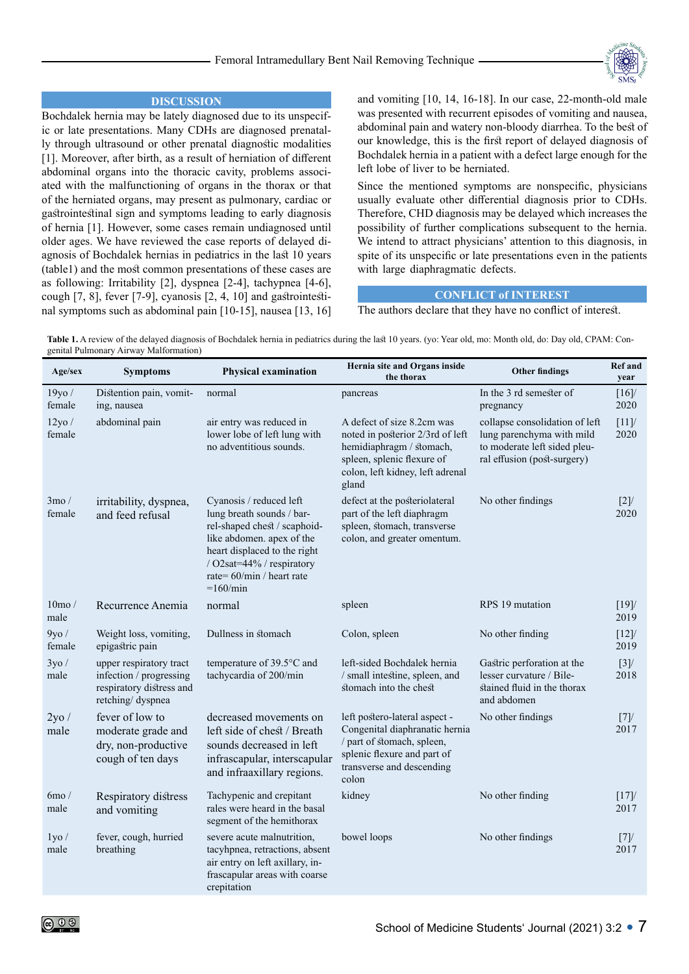

# **DISCUSSION**

Bochdalek hernia may be lately diagnosed due to its unspecific or late presentations. Many CDHs are diagnosed prenatally through ultrasound or other prenatal diagnostic modalities [1]. Moreover, after birth, as a result of herniation of different abdominal organs into the thoracic cavity, problems associated with the malfunctioning of organs in the thorax or that of the herniated organs, may present as pulmonary, cardiac or gastrointestinal sign and symptoms leading to early diagnosis of hernia [1]. However, some cases remain undiagnosed until older ages. We have reviewed the case reports of delayed diagnosis of Bochdalek hernias in pediatrics in the last 10 years (table1) and the most common presentations of these cases are as following: Irritability [2], dyspnea [2-4], tachypnea [4-6], cough [7, 8], fever [7-9], cyanosis [2, 4, 10] and gastrointestinal symptoms such as abdominal pain [10-15], nausea [13, 16] and vomiting [10, 14, 16-18]. In our case, 22-month-old male was presented with recurrent episodes of vomiting and nausea, abdominal pain and watery non-bloody diarrhea. To the best of our knowledge, this is the first report of delayed diagnosis of Bochdalek hernia in a patient with a defect large enough for the left lobe of liver to be herniated.

Since the mentioned symptoms are nonspecific, physicians usually evaluate other differential diagnosis prior to CDHs. Therefore, CHD diagnosis may be delayed which increases the possibility of further complications subsequent to the hernia. We intend to attract physicians' attention to this diagnosis, in spite of its unspecific or late presentations even in the patients with large diaphragmatic defects.

## **CONFLICT of INTEREST**

The authors declare that they have no conflict of interest.

Table 1. A review of the delayed diagnosis of Bochdalek hernia in pediatrics during the last 10 years. (yo: Year old, mo: Month old, do: Day old, CPAM: Congenital Pulmonary Airway Malformation)

| Age/sex                   | <b>Symptoms</b>                                                                                    | <b>Physical examination</b>                                                                                                                                                                                                        | Hernia site and Organs inside<br>the thorax                                                                                                                           | <b>Other findings</b>                                                                                                      | <b>Ref</b> and<br>year |
|---------------------------|----------------------------------------------------------------------------------------------------|------------------------------------------------------------------------------------------------------------------------------------------------------------------------------------------------------------------------------------|-----------------------------------------------------------------------------------------------------------------------------------------------------------------------|----------------------------------------------------------------------------------------------------------------------------|------------------------|
| 19yo /<br>female          | Distention pain, vomit-<br>ing, nausea                                                             | normal                                                                                                                                                                                                                             | pancreas                                                                                                                                                              | In the 3 rd semester of<br>pregnancy                                                                                       | $[16]$<br>2020         |
| $12$ yo /<br>female       | abdominal pain                                                                                     | air entry was reduced in<br>lower lobe of left lung with<br>no adventitious sounds.                                                                                                                                                | A defect of size 8.2cm was<br>noted in posterior 2/3rd of left<br>hemidiaphragm / stomach,<br>spleen, splenic flexure of<br>colon, left kidney, left adrenal<br>gland | collapse consolidation of left<br>lung parenchyma with mild<br>to moderate left sided pleu-<br>ral effusion (post-surgery) | [11]<br>2020           |
| $3 \text{mo}$ /<br>female | irritability, dyspnea,<br>and feed refusal                                                         | Cyanosis / reduced left<br>lung breath sounds / bar-<br>rel-shaped chest / scaphoid-<br>like abdomen. apex of the<br>heart displaced to the right<br>/ O2sat=44% / respiratory<br>rate= $60/\text{min}$ / heart rate<br>$=160/min$ | defect at the posteriolateral<br>part of the left diaphragm<br>spleen, stomach, transverse<br>colon, and greater omentum.                                             | No other findings                                                                                                          | [2]<br>2020            |
| 10 <sub>mo</sub><br>male  | Recurrence Anemia                                                                                  | normal                                                                                                                                                                                                                             | spleen                                                                                                                                                                | RPS 19 mutation                                                                                                            | $[19]$<br>2019         |
| 9y0/<br>female            | Weight loss, vomiting,<br>epigastric pain                                                          | Dullness in stomach                                                                                                                                                                                                                | Colon, spleen                                                                                                                                                         | No other finding                                                                                                           | $[12]$<br>2019         |
| 3y0/<br>male              | upper respiratory tract<br>infection / progressing<br>respiratory distress and<br>retching/dyspnea | temperature of 39.5°C and<br>tachycardia of 200/min                                                                                                                                                                                | left-sided Bochdalek hernia<br>/ small intestine, spleen, and<br>stomach into the chest                                                                               | Gastric perforation at the<br>lesser curvature / Bile-<br>stained fluid in the thorax<br>and abdomen                       | [3]<br>2018            |
| 2y0/<br>male              | fever of low to<br>moderate grade and<br>dry, non-productive<br>cough of ten days                  | decreased movements on<br>left side of chest / Breath<br>sounds decreased in left<br>infrascapular, interscapular<br>and infraaxillary regions.                                                                                    | left postero-lateral aspect -<br>Congenital diaphranatic hernia<br>/ part of stomach, spleen,<br>splenic flexure and part of<br>transverse and descending<br>colon    | No other findings                                                                                                          | [7]<br>2017            |
| $6mo$ /<br>male           | Respiratory distress<br>and vomiting                                                               | Tachypenic and crepitant<br>rales were heard in the basal<br>segment of the hemithorax                                                                                                                                             | kidney                                                                                                                                                                | No other finding                                                                                                           | $[17]$<br>2017         |
| $1$ yo $/$<br>male        | fever, cough, hurried<br>breathing                                                                 | severe acute malnutrition,<br>tacyhpnea, retractions, absent<br>air entry on left axillary, in-<br>frascapular areas with coarse<br>crepitation                                                                                    | bowel loops                                                                                                                                                           | No other findings                                                                                                          | [7]<br>2017            |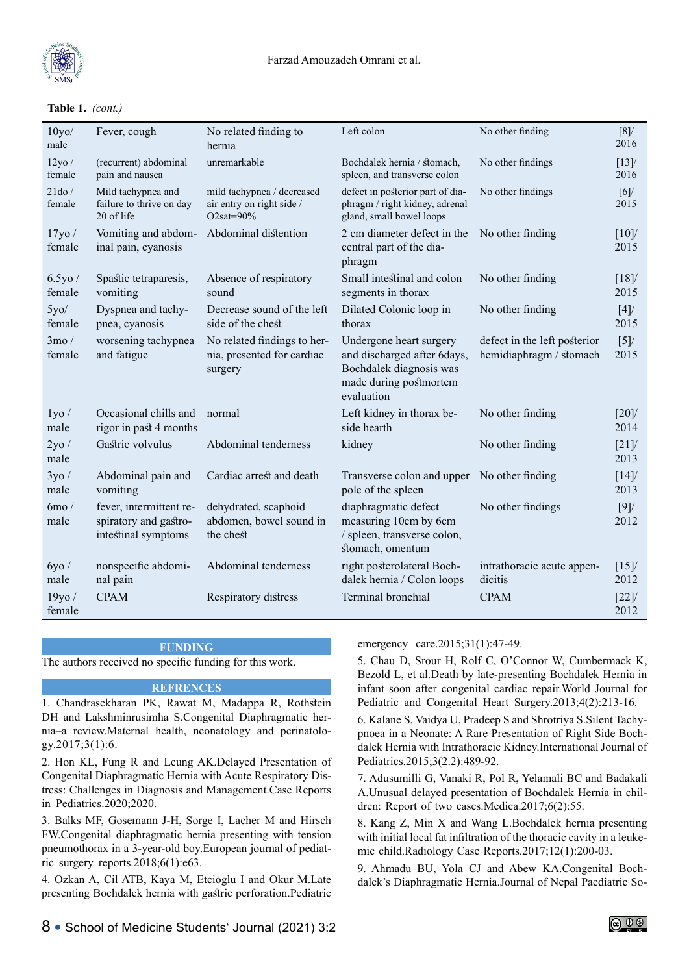

#### $\text{Table 1.}$   $\text{Cone}$ . **Table 1.** *(cont.)*

| 10y0/<br>male             | Fever, cough                                                            | No related finding to<br>hernia                                          | Left colon                                                                                                                | No other finding                                        | [8]<br>2016    |
|---------------------------|-------------------------------------------------------------------------|--------------------------------------------------------------------------|---------------------------------------------------------------------------------------------------------------------------|---------------------------------------------------------|----------------|
| $12$ yo /<br>female       | (recurrent) abdominal<br>pain and nausea                                | unremarkable                                                             | Bochdalek hernia / stomach,<br>spleen, and transverse colon                                                               | No other findings                                       | $[13]$<br>2016 |
| 21d0/<br>female           | Mild tachypnea and<br>failure to thrive on day<br>20 of life            | mild tachypnea / decreased<br>air entry on right side /<br>O2sat= $90\%$ | defect in posterior part of dia-<br>phragm / right kidney, adrenal<br>gland, small bowel loops                            | No other findings                                       | [6]<br>2015    |
| $17$ yo /<br>female       | Vomiting and abdom-<br>inal pain, cyanosis                              | Abdominal distention                                                     | 2 cm diameter defect in the<br>central part of the dia-<br>phragm                                                         | No other finding                                        | [10]<br>2015   |
| 6.5y0/<br>female          | Spastic tetraparesis,<br>vomiting                                       | Absence of respiratory<br>sound                                          | Small intestinal and colon<br>segments in thorax                                                                          | No other finding                                        | [18]<br>2015   |
| 5y0/<br>female            | Dyspnea and tachy-<br>pnea, cyanosis                                    | Decrease sound of the left<br>side of the chest                          | Dilated Colonic loop in<br>thorax                                                                                         | No other finding                                        | [4]<br>2015    |
| $3 \text{mo}$ /<br>female | worsening tachypnea<br>and fatigue                                      | No related findings to her-<br>nia, presented for cardiac<br>surgery     | Undergone heart surgery<br>and discharged after 6days,<br>Bochdalek diagnosis was<br>made during postmortem<br>evaluation | defect in the left posterior<br>hemidiaphragm / stomach | [5]<br>2015    |
| $1$ yo $/$<br>male        | Occasional chills and<br>rigor in past 4 months                         | normal                                                                   | Left kidney in thorax be-<br>side hearth                                                                                  | No other finding                                        | [20]<br>2014   |
| 2y0/<br>male              | Gastric volvulus                                                        | Abdominal tenderness                                                     | kidney                                                                                                                    | No other finding                                        | [21]<br>2013   |
| 3y0/<br>male              | Abdominal pain and<br>vomiting                                          | Cardiac arrest and death                                                 | Transverse colon and upper No other finding<br>pole of the spleen                                                         |                                                         | [14]<br>2013   |
| $6mo$ /<br>male           | fever, intermittent re-<br>spiratory and gastro-<br>intestinal symptoms | dehydrated, scaphoid<br>abdomen, bowel sound in<br>the chest             | diaphragmatic defect<br>measuring 10cm by 6cm<br>/ spleen, transverse colon,<br>stomach, omentum                          | No other findings                                       | [9]<br>2012    |
| 6y0/<br>male              | nonspecific abdomi-<br>nal pain                                         | Abdominal tenderness                                                     | right posterolateral Boch-<br>dalek hernia / Colon loops                                                                  | intrathoracic acute appen-<br>dicitis                   | [15]<br>2012   |
| 19y0/<br>female           | <b>CPAM</b>                                                             | Respiratory distress                                                     | Terminal bronchial                                                                                                        | <b>CPAM</b>                                             | $[22]$<br>2012 |

#### **FUNDING**

The authors received no specific funding for this work.

# **REFRENCES**

1. Chandrasekharan PK, Rawat M, Madappa R, Rothstein DH and Lakshminrusimha S.Congenital Diaphragmatic hernia–a review.Maternal health, neonatology and perinatology.2017;3(1):6.

2. Hon KL, Fung R and Leung AK.Delayed Presentation of Congenital Diaphragmatic Hernia with Acute Respiratory Distress: Challenges in Diagnosis and Management.Case Reports in Pediatrics.2020;2020.

3. Balks MF, Gosemann J-H, Sorge I, Lacher M and Hirsch FW.Congenital diaphragmatic hernia presenting with tension pneumothorax in a 3-year-old boy.European journal of pediatric surgery reports.2018;6(1):e63.

4. Ozkan A, Cil ATB, Kaya M, Etcioglu I and Okur M.Late presenting Bochdalek hernia with gastric perforation.Pediatric emergency care.2015;31(1):47-49.

5. Chau D, Srour H, Rolf C, O'Connor W, Cumbermack K, Bezold L, et al.Death by late-presenting Bochdalek Hernia in infant soon after congenital cardiac repair.World Journal for Pediatric and Congenital Heart Surgery.2013;4(2):213-16.

6. Kalane S, Vaidya U, Pradeep S and Shrotriya S.Silent Tachypnoea in a Neonate: A Rare Presentation of Right Side Bochdalek Hernia with Intrathoracic Kidney.International Journal of Pediatrics.2015;3(2.2):489-92.

7. Adusumilli G, Vanaki R, Pol R, Yelamali BC and Badakali A.Unusual delayed presentation of Bochdalek Hernia in children: Report of two cases.Medica.2017;6(2):55.

8. Kang Z, Min X and Wang L.Bochdalek hernia presenting with initial local fat infiltration of the thoracic cavity in a leukemic child.Radiology Case Reports.2017;12(1):200-03.

9. Ahmadu BU, Yola CJ and Abew KA.Congenital Bochdalek's Diaphragmatic Hernia.Journal of Nepal Paediatric So